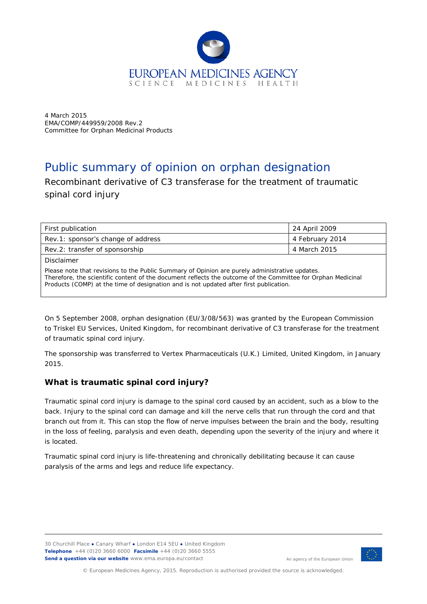

4 March 2015 EMA/COMP/449959/2008 Rev.2 Committee for Orphan Medicinal Products

# Public summary of opinion on orphan designation

Recombinant derivative of C3 transferase for the treatment of traumatic spinal cord injury

| First publication                                                                                                                                                                                              | 24 April 2009   |  |
|----------------------------------------------------------------------------------------------------------------------------------------------------------------------------------------------------------------|-----------------|--|
| Rev.1: sponsor's change of address                                                                                                                                                                             | 4 February 2014 |  |
| Rev.2: transfer of sponsorship                                                                                                                                                                                 | 4 March 2015    |  |
| Disclaimer                                                                                                                                                                                                     |                 |  |
| Please note that revisions to the Public Summary of Opinion are purely administrative updates.<br>Therefore, the scientific content of the document reflects the outcome of the Committee for Ornhan Medicinal |                 |  |

, the scientific content of the document reflects the outcome of the Committee for Orphan Medicinal Products (COMP) at the time of designation and is not updated after first publication.

On 5 September 2008, orphan designation (EU/3/08/563) was granted by the European Commission to Triskel EU Services, United Kingdom, for recombinant derivative of C3 transferase for the treatment of traumatic spinal cord injury.

The sponsorship was transferred to Vertex Pharmaceuticals (U.K.) Limited, United Kingdom, in January 2015.

## **What is traumatic spinal cord injury?**

Traumatic spinal cord injury is damage to the spinal cord caused by an accident, such as a blow to the back. Injury to the spinal cord can damage and kill the nerve cells that run through the cord and that branch out from it. This can stop the flow of nerve impulses between the brain and the body, resulting in the loss of feeling, paralysis and even death, depending upon the severity of the injury and where it is located.

Traumatic spinal cord injury is life-threatening and chronically debilitating because it can cause paralysis of the arms and legs and reduce life expectancy.

<span id="page-0-0"></span>30 Churchill Place **●** Canary Wharf **●** London E14 5EU **●** United Kingdom **Telephone** +44 (0)20 3660 6000 **Facsimile** +44 (0)20 3660 5555 **Send a question via our website** www.ema.europa.eu/contact



An agency of the European Union

© European Medicines Agency, 2015. Reproduction is authorised provided the source is acknowledged.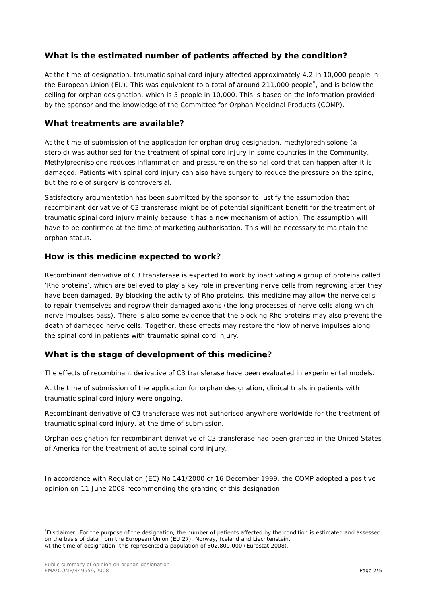# **What is the estimated number of patients affected by the condition?**

At the time of designation, traumatic spinal cord injury affected approximately 4.2 in 10,000 people in the European Union (EU). This was equivalent to a total of around 211,000 people<sup>[\\*](#page-0-0)</sup>, and is below the ceiling for orphan designation, which is 5 people in 10,000. This is based on the information provided by the sponsor and the knowledge of the Committee for Orphan Medicinal Products (COMP)*.*

#### **What treatments are available?**

At the time of submission of the application for orphan drug designation, methylprednisolone (a steroid) was authorised for the treatment of spinal cord injury in some countries in the Community. Methylprednisolone reduces inflammation and pressure on the spinal cord that can happen after it is damaged. Patients with spinal cord injury can also have surgery to reduce the pressure on the spine, but the role of surgery is controversial.

Satisfactory argumentation has been submitted by the sponsor to justify the assumption that recombinant derivative of C3 transferase might be of potential significant benefit for the treatment of traumatic spinal cord injury mainly because it has a new mechanism of action. The assumption will have to be confirmed at the time of marketing authorisation. This will be necessary to maintain the orphan status.

#### **How is this medicine expected to work?**

Recombinant derivative of C3 transferase is expected to work by inactivating a group of proteins called 'Rho proteins', which are believed to play a key role in preventing nerve cells from regrowing after they have been damaged. By blocking the activity of Rho proteins, this medicine may allow the nerve cells to repair themselves and regrow their damaged axons (the long processes of nerve cells along which nerve impulses pass). There is also some evidence that the blocking Rho proteins may also prevent the death of damaged nerve cells. Together, these effects may restore the flow of nerve impulses along the spinal cord in patients with traumatic spinal cord injury.

## **What is the stage of development of this medicine?**

The effects of recombinant derivative of C3 transferase have been evaluated in experimental models.

At the time of submission of the application for orphan designation, clinical trials in patients with traumatic spinal cord injury were ongoing.

Recombinant derivative of C3 transferase was not authorised anywhere worldwide for the treatment of traumatic spinal cord injury, at the time of submission.

Orphan designation for recombinant derivative of C3 transferase had been granted in the United States of America for the treatment of acute spinal cord injury.

In accordance with Regulation (EC) No 141/2000 of 16 December 1999, the COMP adopted a positive opinion on 11 June 2008 recommending the granting of this designation.

<span id="page-1-0"></span> <sup>\*</sup> Disclaimer: For the purpose of the designation, the number of patients affected by the condition is estimated and assessed on the basis of data from the European Union (EU 27), Norway, Iceland and Liechtenstein. At the time of designation, this represented a population of 502,800,000 (Eurostat 2008).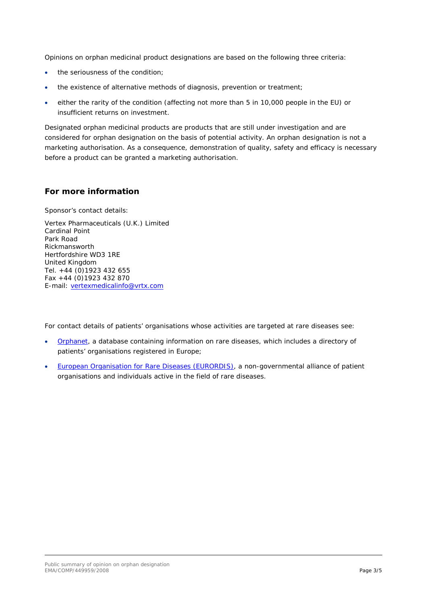Opinions on orphan medicinal product designations are based on the following three criteria:

- the seriousness of the condition;
- the existence of alternative methods of diagnosis, prevention or treatment;
- either the rarity of the condition (affecting not more than 5 in 10,000 people in the EU) or insufficient returns on investment.

Designated orphan medicinal products are products that are still under investigation and are considered for orphan designation on the basis of potential activity. An orphan designation is not a marketing authorisation. As a consequence, demonstration of quality, safety and efficacy is necessary before a product can be granted a marketing authorisation.

## **For more information**

Sponsor's contact details:

Vertex Pharmaceuticals (U.K.) Limited Cardinal Point Park Road Rickmansworth Hertfordshire WD3 1RE United Kingdom Tel. +44 (0)1923 432 655 Fax +44 (0)1923 432 870 E-mail: [vertexmedicalinfo@vrtx.com](mailto:vertexmedicalinfo@vrtx.com)

For contact details of patients' organisations whose activities are targeted at rare diseases see:

- [Orphanet,](http://www.orpha.net/consor/cgi-bin/index.php) a database containing information on rare diseases, which includes a directory of patients' organisations registered in Europe;
- [European Organisation for Rare Diseases \(EURORDIS\),](http://www.eurordis.org/content/rare-disease-patient-organisations) a non-governmental alliance of patient organisations and individuals active in the field of rare diseases.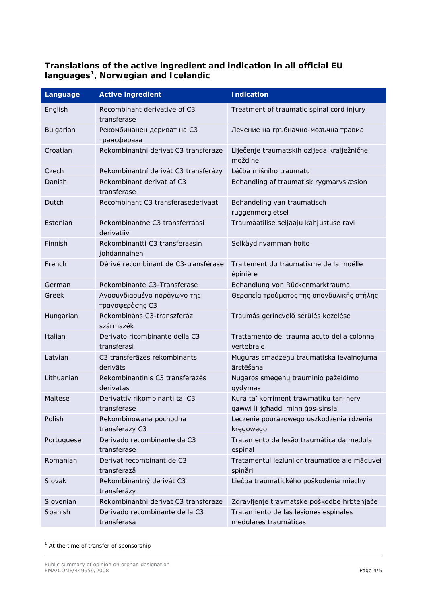# **Translations of the active ingredient and indication in all official EU languages[1](#page-1-0) , Norwegian and Icelandic**

| Language   | <b>Active ingredient</b>                       | <b>Indication</b>                                                          |
|------------|------------------------------------------------|----------------------------------------------------------------------------|
| English    | Recombinant derivative of C3<br>transferase    | Treatment of traumatic spinal cord injury                                  |
| Bulgarian  | Рекомбинанен дериват на СЗ<br>трансфераза      | Лечение на гръбначно-мозъчна травма                                        |
| Croatian   | Rekombinantni derivat C3 transferaze           | Liječenje traumatskih ozljeda kralježnične<br>moždine                      |
| Czech      | Rekombinantní derivát C3 transferázy           | Léčba míšního traumatu                                                     |
| Danish     | Rekombinant derivat af C3<br>transferase       | Behandling af traumatisk rygmarvslæsion                                    |
| Dutch      | Recombinant C3 transferasederivaat             | Behandeling van traumatisch<br>ruggenmergletsel                            |
| Estonian   | Rekombinantne C3 transferraasi<br>derivatiiv   | Traumaatilise seljaaju kahjustuse ravi                                     |
| Finnish    | Rekombinantti C3 transferaasin<br>johdannainen | Selkäydinvamman hoito                                                      |
| French     | Dérivé recombinant de C3-transférase           | Traitement du traumatisme de la moëlle<br>épinière                         |
| German     | Rekombinante C3-Transferase                    | Behandlung von Rückenmarktrauma                                            |
| Greek      | Ανασυνδιασμένο παράγωγο της<br>τρανσφεράσης C3 | Θεραπεία τραύματος της σπονδυλικής στήλης                                  |
| Hungarian  | Rekombináns C3-transzferáz<br>származék        | Traumás gerincvelő sérülés kezelése                                        |
| Italian    | Derivato ricombinante della C3<br>transferasi  | Trattamento del trauma acuto della colonna<br>vertebrale                   |
| Latvian    | C3 transferāzes rekombinants<br>derivāts       | Muguras smadzeņu traumatiska ievainojuma<br>ārstēšana                      |
| Lithuanian | Rekombinantinis C3 transferazės<br>derivatas   | Nugaros smegenų trauminio pažeidimo<br>gydymas                             |
| Maltese    | Derivattiv rikombinanti ta' C3<br>transferase  | Kura ta' korriment trawmatiku tan-nerv<br>qawwi li jghaddi minn gos-sinsla |
| Polish     | Rekombinowana pochodna<br>transferazy C3       | Leczenie pourazowego uszkodzenia rdzenia<br>kręgowego                      |
| Portuguese | Derivado recombinante da C3<br>transferase     | Tratamento da lesão traumática da medula<br>espinal                        |
| Romanian   | Derivat recombinant de C3<br>transferază       | Tratamentul leziunilor traumatice ale măduvei<br>spinării                  |
| Slovak     | Rekombinantný derivát C3<br>transferázy        | Liečba traumatického poškodenia miechy                                     |
| Slovenian  | Rekombinantni derivat C3 transferaze           | Zdravljenje travmatske poškodbe hrbtenjače                                 |
| Spanish    | Derivado recombinante de la C3<br>transferasa  | Tratamiento de las lesiones espinales<br>medulares traumáticas             |

<sup>1</sup> At the time of transfer of sponsorship